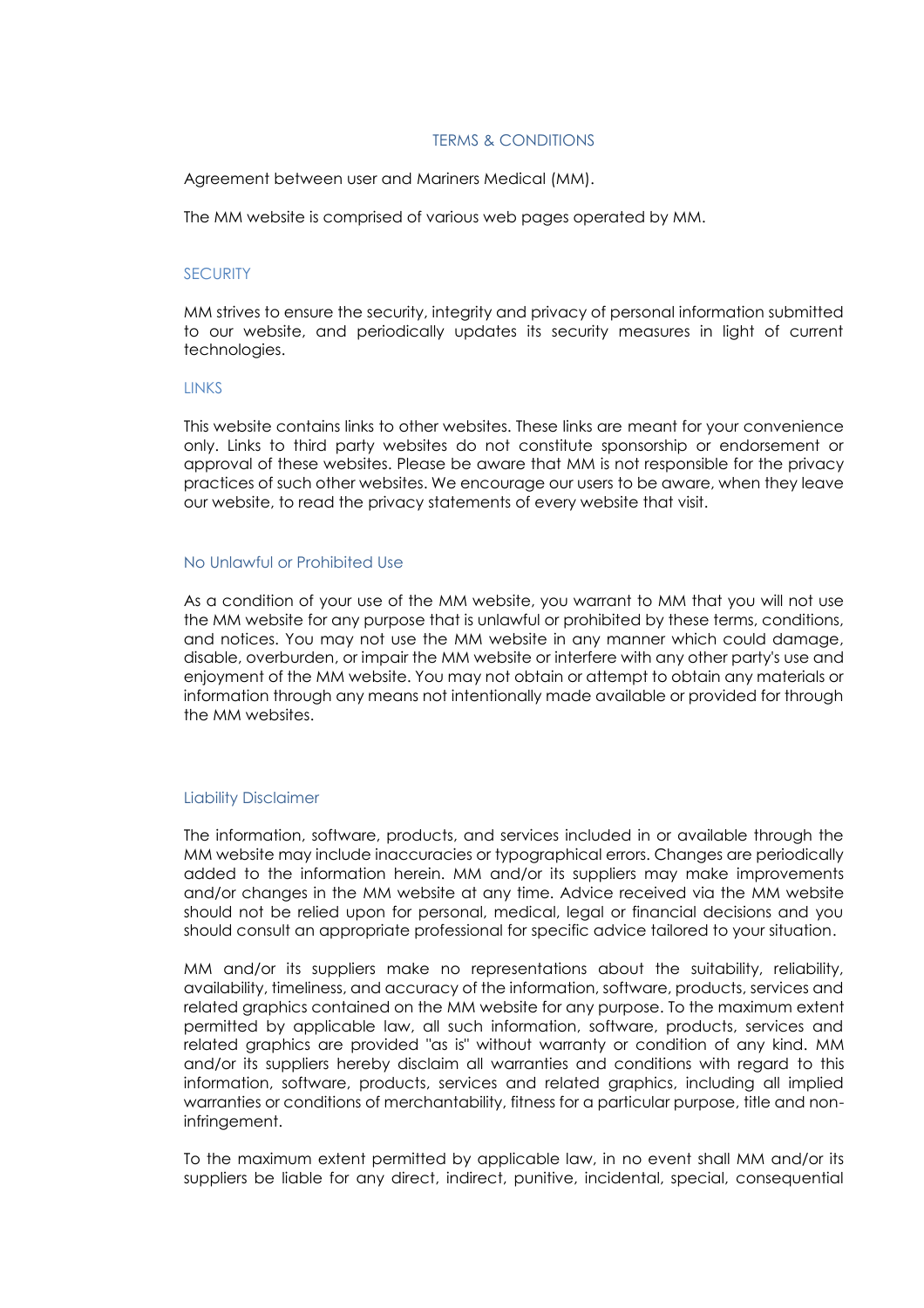# TERMS & CONDITIONS

Agreement between user and Mariners Medical (MM).

The MM website is comprised of various web pages operated by MM.

# **SECURITY**

MM strives to ensure the security, integrity and privacy of personal information submitted to our website, and periodically updates its security measures in light of current technologies.

#### **LINKS**

This website contains links to other websites. These links are meant for your convenience only. Links to third party websites do not constitute sponsorship or endorsement or approval of these websites. Please be aware that MM is not responsible for the privacy practices of such other websites. We encourage our users to be aware, when they leave our website, to read the privacy statements of every website that visit.

### No Unlawful or Prohibited Use

As a condition of your use of the MM website, you warrant to MM that you will not use the MM website for any purpose that is unlawful or prohibited by these terms, conditions, and notices. You may not use the MM website in any manner which could damage, disable, overburden, or impair the MM website or interfere with any other party's use and enjoyment of the MM website. You may not obtain or attempt to obtain any materials or information through any means not intentionally made available or provided for through the MM websites.

### Liability Disclaimer

The information, software, products, and services included in or available through the MM website may include inaccuracies or typographical errors. Changes are periodically added to the information herein. MM and/or its suppliers may make improvements and/or changes in the MM website at any time. Advice received via the MM website should not be relied upon for personal, medical, legal or financial decisions and you should consult an appropriate professional for specific advice tailored to your situation.

MM and/or its suppliers make no representations about the suitability, reliability, availability, timeliness, and accuracy of the information, software, products, services and related graphics contained on the MM website for any purpose. To the maximum extent permitted by applicable law, all such information, software, products, services and related graphics are provided "as is" without warranty or condition of any kind. MM and/or its suppliers hereby disclaim all warranties and conditions with regard to this information, software, products, services and related graphics, including all implied warranties or conditions of merchantability, fitness for a particular purpose, title and noninfringement.

To the maximum extent permitted by applicable law, in no event shall MM and/or its suppliers be liable for any direct, indirect, punitive, incidental, special, consequential